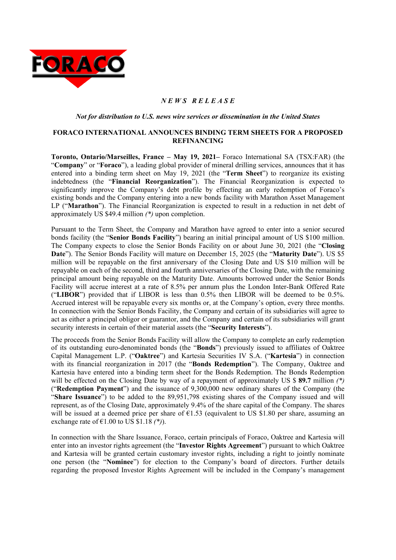

# *N E W S R E L E A S E*

*Not for distribution to U.S. news wire services or dissemination in the United States* 

#### **FORACO INTERNATIONAL ANNOUNCES BINDING TERM SHEETS FOR A PROPOSED REFINANCING**

**Toronto, Ontario/Marseilles, France – May 19, 2021–** Foraco International SA (TSX:FAR) (the "**Company**" or "**Foraco**"), a leading global provider of mineral drilling services, announces that it has entered into a binding term sheet on May 19, 2021 (the "**Term Sheet**") to reorganize its existing indebtedness (the "**Financial Reorganization**"). The Financial Reorganization is expected to significantly improve the Company's debt profile by effecting an early redemption of Foraco's existing bonds and the Company entering into a new bonds facility with Marathon Asset Management LP ("**Marathon**"). The Financial Reorganization is expected to result in a reduction in net debt of approximately US \$49.4 million *(\*)* upon completion.

Pursuant to the Term Sheet, the Company and Marathon have agreed to enter into a senior secured bonds facility (the "**Senior Bonds Facility**") bearing an initial principal amount of US \$100 million. The Company expects to close the Senior Bonds Facility on or about June 30, 2021 (the "**Closing Date**"). The Senior Bonds Facility will mature on December 15, 2025 (the "**Maturity Date**"). US \$5 million will be repayable on the first anniversary of the Closing Date and US \$10 million will be repayable on each of the second, third and fourth anniversaries of the Closing Date, with the remaining principal amount being repayable on the Maturity Date. Amounts borrowed under the Senior Bonds Facility will accrue interest at a rate of 8.5% per annum plus the London Inter-Bank Offered Rate ("**LIBOR**") provided that if LIBOR is less than 0.5% then LIBOR will be deemed to be 0.5%. Accrued interest will be repayable every six months or, at the Company's option, every three months. In connection with the Senior Bonds Facility, the Company and certain of its subsidiaries will agree to act as either a principal obligor or guarantor, and the Company and certain of its subsidiaries will grant security interests in certain of their material assets (the "**Security Interests**").

The proceeds from the Senior Bonds Facility will allow the Company to complete an early redemption of its outstanding euro-denominated bonds (the "**Bonds**") previously issued to affiliates of Oaktree Capital Management L.P. ("**Oaktree**") and Kartesia Securities IV S.A. ("**Kartesia**") in connection with its financial reorganization in 2017 (the "**Bonds Redemption**"). The Company, Oaktree and Kartesia have entered into a binding term sheet for the Bonds Redemption. The Bonds Redemption will be effected on the Closing Date by way of a repayment of approximately US \$ **89.7** million *(\*)* ("**Redemption Payment**") and the issuance of 9,300,000 new ordinary shares of the Company (the "**Share Issuance**") to be added to the 89,951,798 existing shares of the Company issued and will represent, as of the Closing Date, approximately 9.4% of the share capital of the Company. The shares will be issued at a deemed price per share of  $\epsilon$ 1.53 (equivalent to US \$1.80 per share, assuming an exchange rate of  $\text{\textsterling}1.00$  to US \$1.18  $(*)$ ).

In connection with the Share Issuance, Foraco, certain principals of Foraco, Oaktree and Kartesia will enter into an investor rights agreement (the "**Investor Rights Agreement**") pursuant to which Oaktree and Kartesia will be granted certain customary investor rights, including a right to jointly nominate one person (the "**Nominee**") for election to the Company's board of directors. Further details regarding the proposed Investor Rights Agreement will be included in the Company's management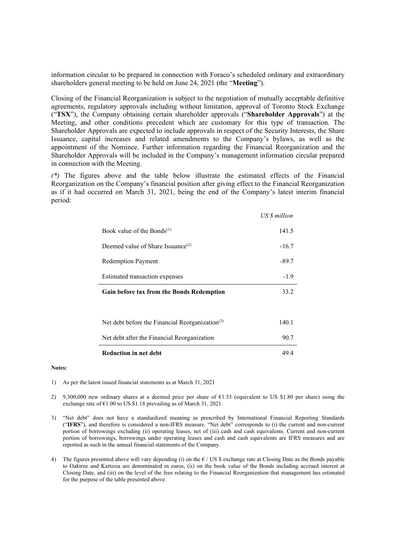information circular to be prepared in connection with Foraco's scheduled ordinary and extraordinary shareholders general meeting to be held on June 24, 2021 (the "**Meeting**").

Closing of the Financial Reorganization is subject to the negotiation of mutually acceptable definitive agreements, regulatory approvals including without limitation, approval of Toronto Stock Exchange ("**TSX**"), the Company obtaining certain shareholder approvals ("**Shareholder Approvals**") at the Meeting, and other conditions precedent which are customary for this type of transaction. The Shareholder Approvals are expected to include approvals in respect of the Security Interests, the Share Issuance, capital increases and related amendments to the Company's bylaws, as well as the appointment of the Nominee. Further information regarding the Financial Reorganization and the Shareholder Approvals will be included in the Company's management information circular prepared in connection with the Meeting.

*(\*)* The figures above and the table below illustrate the estimated effects of the Financial Reorganization on the Company's financial position after giving effect to the Financial Reorganization as if it had occurred on March 31, 2021, being the end of the Company's latest interim financial period:

|                                                             | <b>US</b> \$ million |
|-------------------------------------------------------------|----------------------|
| Book value of the Bonds <sup>(1)</sup>                      | 141.5                |
| Deemed value of Share Issuance <sup>(2)</sup>               | $-16.7$              |
| <b>Redemption Payment</b>                                   | -89.7                |
| Estimated transaction expenses                              | $-1.9$               |
| <b>Gain before tax from the Bonds Redemption</b>            | 33.2                 |
|                                                             |                      |
| Net debt before the Financial Reorganization <sup>(3)</sup> | 140.1                |
| Net debt after the Financial Reorganization                 | 90.7                 |
| <b>Reduction in net debt</b>                                | 49.4                 |

#### **Notes:**

- 1) As per the latest issued financial statements as at March 31, 2021
- 2) 9,300,000 new ordinary shares at a deemed price per share of €1.53 (equivalent to US \$1.80 per share) using the exchange rate of €1.00 to US \$1.18 prevailing as of March 31, 2021.
- 3) "Net debt" does not have a standardized meaning as prescribed by International Financial Reporting Standards ("**IFRS**"), and therefore is considered a non-IFRS measure. "Net debt" corresponds to (i) the current and non-current portion of borrowings excluding (ii) operating leases, net of (iii) cash and cash equivalents. Current and non-current portion of borrowings, borrowings under operating leases and cash and cash equivalents are IFRS measures and are reported as such in the annual financial statements of the Company.
- 4) The figures presented above will vary depending (i) on the  $E / US$  \$ exchange rate at Closing Date as the Bonds payable to Oaktree and Kartesia are denominated in euros, (ii) on the book value of the Bonds including accrued interest at Closing Date, and (iii) on the level of the fees relating to the Financial Reorganization that management has estimated for the purpose of the table presented above.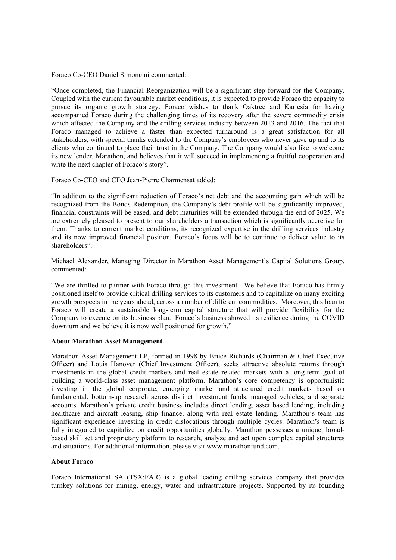Foraco Co-CEO Daniel Simoncini commented:

"Once completed, the Financial Reorganization will be a significant step forward for the Company. Coupled with the current favourable market conditions, it is expected to provide Foraco the capacity to pursue its organic growth strategy. Foraco wishes to thank Oaktree and Kartesia for having accompanied Foraco during the challenging times of its recovery after the severe commodity crisis which affected the Company and the drilling services industry between 2013 and 2016. The fact that Foraco managed to achieve a faster than expected turnaround is a great satisfaction for all stakeholders, with special thanks extended to the Company's employees who never gave up and to its clients who continued to place their trust in the Company. The Company would also like to welcome its new lender, Marathon, and believes that it will succeed in implementing a fruitful cooperation and write the next chapter of Foraco's story".

Foraco Co-CEO and CFO Jean-Pierre Charmensat added:

"In addition to the significant reduction of Foraco's net debt and the accounting gain which will be recognized from the Bonds Redemption, the Company's debt profile will be significantly improved, financial constraints will be eased, and debt maturities will be extended through the end of 2025. We are extremely pleased to present to our shareholders a transaction which is significantly accretive for them. Thanks to current market conditions, its recognized expertise in the drilling services industry and its now improved financial position, Foraco's focus will be to continue to deliver value to its shareholders".

Michael Alexander, Managing Director in Marathon Asset Management's Capital Solutions Group, commented:

"We are thrilled to partner with Foraco through this investment. We believe that Foraco has firmly positioned itself to provide critical drilling services to its customers and to capitalize on many exciting growth prospects in the years ahead, across a number of different commodities. Moreover, this loan to Foraco will create a sustainable long-term capital structure that will provide flexibility for the Company to execute on its business plan. Foraco's business showed its resilience during the COVID downturn and we believe it is now well positioned for growth."

### **About Marathon Asset Management**

Marathon Asset Management LP, formed in 1998 by Bruce Richards (Chairman & Chief Executive Officer) and Louis Hanover (Chief Investment Officer), seeks attractive absolute returns through investments in the global credit markets and real estate related markets with a long-term goal of building a world-class asset management platform. Marathon's core competency is opportunistic investing in the global corporate, emerging market and structured credit markets based on fundamental, bottom-up research across distinct investment funds, managed vehicles, and separate accounts. Marathon's private credit business includes direct lending, asset based lending, including healthcare and aircraft leasing, ship finance, along with real estate lending. Marathon's team has significant experience investing in credit dislocations through multiple cycles. Marathon's team is fully integrated to capitalize on credit opportunities globally. Marathon possesses a unique, broadbased skill set and proprietary platform to research, analyze and act upon complex capital structures and situations. For additional information, please visit www.marathonfund.com.

# **About Foraco**

Foraco International SA (TSX:FAR) is a global leading drilling services company that provides turnkey solutions for mining, energy, water and infrastructure projects. Supported by its founding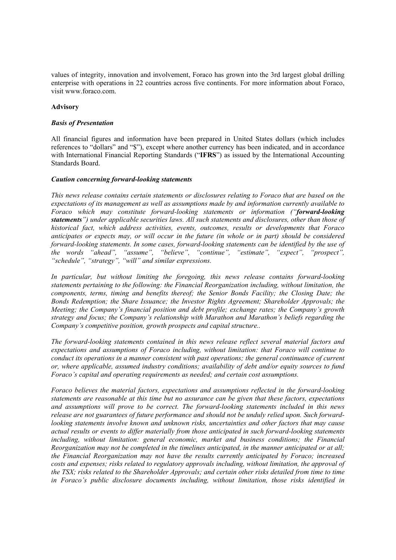values of integrity, innovation and involvement, Foraco has grown into the 3rd largest global drilling enterprise with operations in 22 countries across five continents. For more information about Foraco, visit www.foraco.com.

# **Advisory**

# *Basis of Presentation*

All financial figures and information have been prepared in United States dollars (which includes references to "dollars" and "\$"), except where another currency has been indicated, and in accordance with International Financial Reporting Standards ("**IFRS**") as issued by the International Accounting Standards Board.

### *Caution concerning forward-looking statements*

*This news release contains certain statements or disclosures relating to Foraco that are based on the expectations of its management as well as assumptions made by and information currently available to Foraco which may constitute forward-looking statements or information ("forward-looking statements") under applicable securities laws. All such statements and disclosures, other than those of historical fact, which address activities, events, outcomes, results or developments that Foraco anticipates or expects may, or will occur in the future (in whole or in part) should be considered forward-looking statements. In some cases, forward-looking statements can be identified by the use of the words "ahead", "assume", "believe", "continue", "estimate", "expect", "prospect", "schedule", "strategy", "will" and similar expressions.* 

*In particular, but without limiting the foregoing, this news release contains forward-looking statements pertaining to the following: the Financial Reorganization including, without limitation, the components, terms, timing and benefits thereof; the Senior Bonds Facility; the Closing Date; the Bonds Redemption; the Share Issuance; the Investor Rights Agreement; Shareholder Approvals; the Meeting; the Company's financial position and debt profile; exchange rates; the Company's growth strategy and focus; the Company's relationship with Marathon and Marathon's beliefs regarding the Company's competitive position, growth prospects and capital structure..* 

*The forward-looking statements contained in this news release reflect several material factors and expectations and assumptions of Foraco including, without limitation: that Foraco will continue to conduct its operations in a manner consistent with past operations; the general continuance of current or, where applicable, assumed industry conditions; availability of debt and/or equity sources to fund Foraco's capital and operating requirements as needed; and certain cost assumptions.* 

*Foraco believes the material factors, expectations and assumptions reflected in the forward-looking statements are reasonable at this time but no assurance can be given that these factors, expectations and assumptions will prove to be correct. The forward-looking statements included in this news release are not guarantees of future performance and should not be unduly relied upon. Such forwardlooking statements involve known and unknown risks, uncertainties and other factors that may cause actual results or events to differ materially from those anticipated in such forward-looking statements*  including, without limitation: general economic, market and business conditions; the Financial *Reorganization may not be completed in the timelines anticipated, in the manner anticipated or at all; the Financial Reorganization may not have the results currently anticipated by Foraco; increased costs and expenses; risks related to regulatory approvals including, without limitation, the approval of the TSX; risks related to the Shareholder Approvals; and certain other risks detailed from time to time in Foraco's public disclosure documents including, without limitation, those risks identified in*